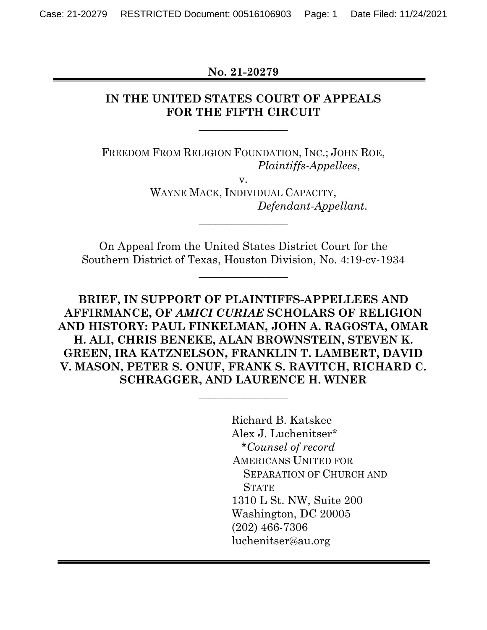**No. 21-20279** 

## **IN THE UNITED STATES COURT OF APPEALS FOR THE FIFTH CIRCUIT**

**\_\_\_\_\_\_\_\_\_\_\_\_\_\_\_\_** 

FREEDOM FROM RELIGION FOUNDATION, INC.; JOHN ROE, *Plaintiffs-Appellees*,

v.

WAYNE MACK, INDIVIDUAL CAPACITY,  *Defendant-Appellant*.

On Appeal from the United States District Court for the Southern District of Texas, Houston Division, No. 4:19-cv-1934

**\_\_\_\_\_\_\_\_\_\_\_\_\_\_\_\_** 

**\_\_\_\_\_\_\_\_\_\_\_\_\_\_\_\_**

**BRIEF, IN SUPPORT OF PLAINTIFFS-APPELLEES AND AFFIRMANCE, OF** *AMICI CURIAE* **SCHOLARS OF RELIGION AND HISTORY: PAUL FINKELMAN, JOHN A. RAGOSTA, OMAR H. ALI, CHRIS BENEKE, ALAN BROWNSTEIN, STEVEN K. GREEN, IRA KATZNELSON, FRANKLIN T. LAMBERT, DAVID V. MASON, PETER S. ONUF, FRANK S. RAVITCH, RICHARD C. SCHRAGGER, AND LAURENCE H. WINER**

**\_\_\_\_\_\_\_\_\_\_\_\_\_\_\_\_** 

Richard B. Katskee Alex J. Luchenitser\* *\*Counsel of record*  AMERICANS UNITED FOR SEPARATION OF CHURCH AND **STATE** 1310 L St. NW, Suite 200 Washington, DC 20005 (202) 466-7306 luchenitser@au.org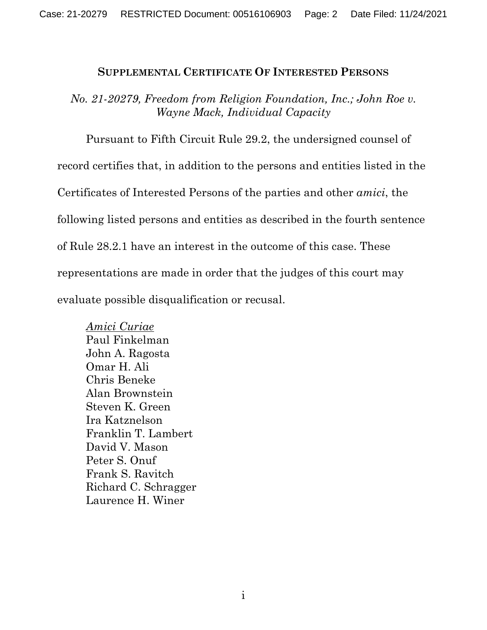#### **SUPPLEMENTAL CERTIFICATE OF INTERESTED PERSONS**

*No. 21-20279, Freedom from Religion Foundation, Inc.; John Roe v. Wayne Mack, Individual Capacity*

Pursuant to Fifth Circuit Rule 29.2, the undersigned counsel of record certifies that, in addition to the persons and entities listed in the Certificates of Interested Persons of the parties and other *amici*, the following listed persons and entities as described in the fourth sentence of Rule 28.2.1 have an interest in the outcome of this case. These representations are made in order that the judges of this court may evaluate possible disqualification or recusal.

*Amici Curiae*  Paul Finkelman John A. Ragosta Omar H. Ali Chris Beneke Alan Brownstein Steven K. Green Ira Katznelson Franklin T. Lambert David V. Mason Peter S. Onuf Frank S. Ravitch Richard C. Schragger Laurence H. Winer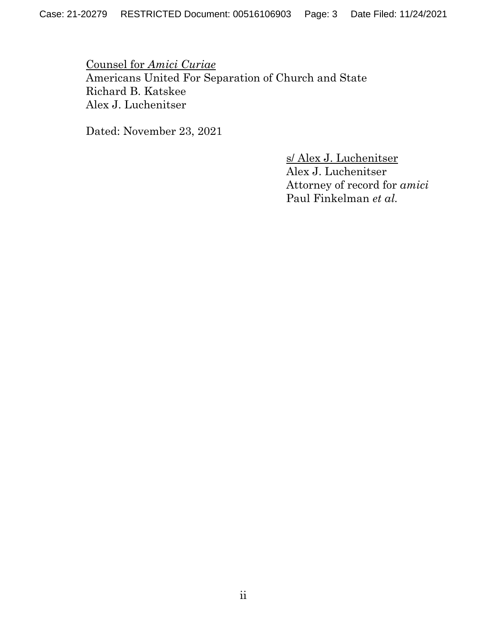Counsel for *Amici Curiae* Americans United For Separation of Church and State Richard B. Katskee Alex J. Luchenitser

Dated: November 23, 2021

s/ Alex J. Luchenitser Alex J. Luchenitser Attorney of record for *amici*  Paul Finkelman *et al.*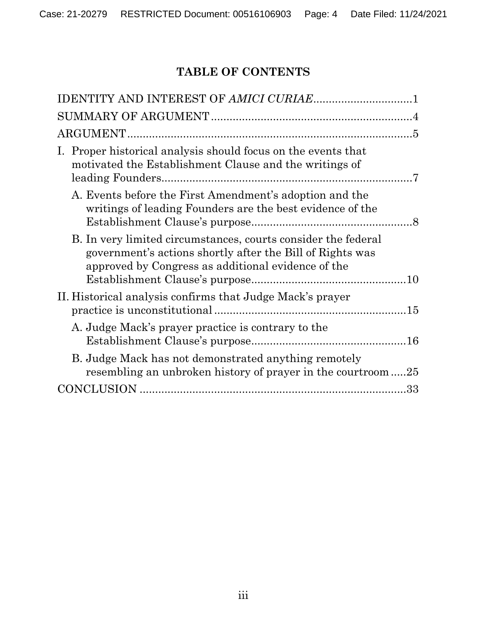# **TABLE OF CONTENTS**

| I. Proper historical analysis should focus on the events that<br>motivated the Establishment Clause and the writings of                                                          |
|----------------------------------------------------------------------------------------------------------------------------------------------------------------------------------|
| A. Events before the First Amendment's adoption and the<br>writings of leading Founders are the best evidence of the                                                             |
| B. In very limited circumstances, courts consider the federal<br>government's actions shortly after the Bill of Rights was<br>approved by Congress as additional evidence of the |
| II. Historical analysis confirms that Judge Mack's prayer                                                                                                                        |
| A. Judge Mack's prayer practice is contrary to the                                                                                                                               |
| B. Judge Mack has not demonstrated anything remotely<br>resembling an unbroken history of prayer in the courtroom25                                                              |
|                                                                                                                                                                                  |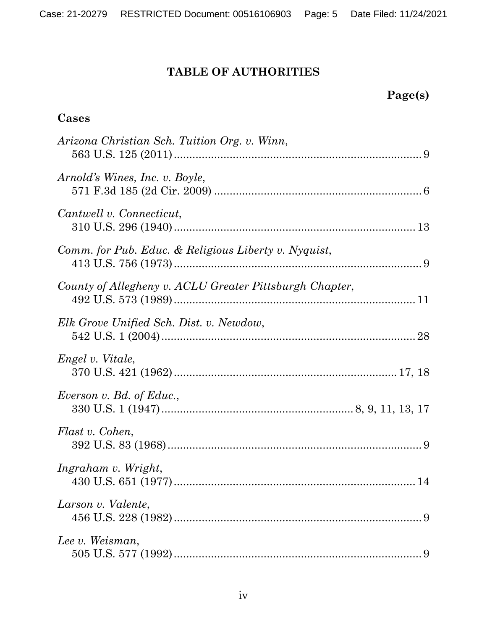# **TABLE OF AUTHORITIES**

# **Page(s)**

### **Cases**

| Arizona Christian Sch. Tuition Org. v. Winn,            |
|---------------------------------------------------------|
| Arnold's Wines, Inc. v. Boyle,                          |
| Cantwell v. Connecticut,                                |
| Comm. for Pub. Educ. & Religious Liberty v. Nyquist,    |
| County of Allegheny v. ACLU Greater Pittsburgh Chapter, |
| Elk Grove Unified Sch. Dist. v. Newdow,                 |
| Engel v. Vitale,                                        |
| Everson v. Bd. of Educ.,                                |
| Flast v. Cohen,                                         |
| Ingraham v. Wright,                                     |
| Larson v. Valente,                                      |
| Lee v. Weisman,                                         |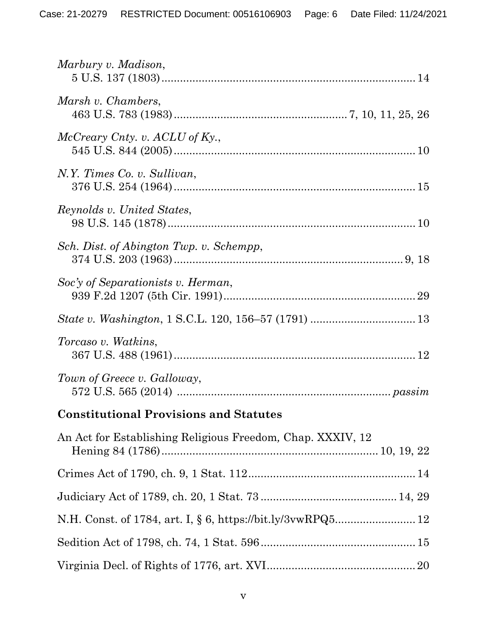| Marbury v. Madison,                                        |
|------------------------------------------------------------|
| Marsh v. Chambers,                                         |
| McCreary Cnty. v. ACLU of Ky.,                             |
| N.Y. Times Co. v. Sullivan,                                |
| Reynolds v. United States,                                 |
| Sch. Dist. of Abington Twp. v. Schempp,                    |
| Soc'y of Separationists v. Herman,                         |
|                                                            |
| Torcaso v. Watkins,                                        |
| Town of Greece v. Galloway,                                |
| <b>Constitutional Provisions and Statutes</b>              |
| An Act for Establishing Religious Freedom, Chap. XXXIV, 12 |
|                                                            |
|                                                            |
|                                                            |
|                                                            |
|                                                            |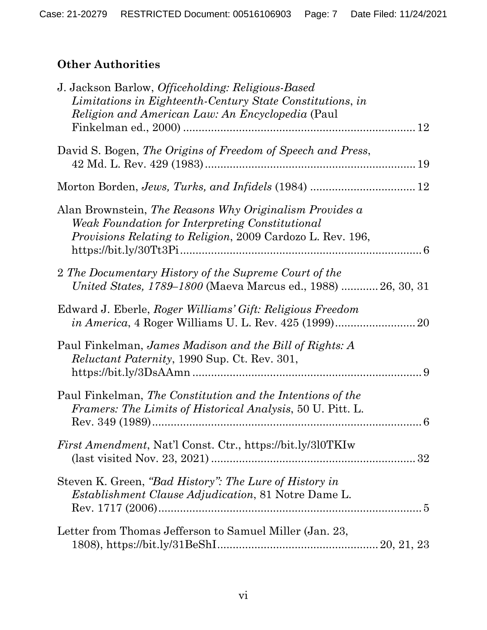# **Other Authorities**

| J. Jackson Barlow, <i>Officeholding: Religious-Based</i><br>Limitations in Eighteenth-Century State Constitutions, in<br><i>Religion and American Law: An Encyclopedia</i> (Paul |
|----------------------------------------------------------------------------------------------------------------------------------------------------------------------------------|
| David S. Bogen, The Origins of Freedom of Speech and Press,                                                                                                                      |
|                                                                                                                                                                                  |
| Alan Brownstein, The Reasons Why Originalism Provides a<br>Weak Foundation for Interpreting Constitutional<br><i>Provisions Relating to Religion, 2009 Cardozo L. Rev. 196,</i>  |
| 2 The Documentary History of the Supreme Court of the<br><i>United States, 1789–1800</i> (Maeva Marcus ed., 1988)  26, 30, 31                                                    |
| Edward J. Eberle, Roger Williams' Gift: Religious Freedom<br>20                                                                                                                  |
| Paul Finkelman, James Madison and the Bill of Rights: A<br><i>Reluctant Paternity</i> , 1990 Sup. Ct. Rev. 301,                                                                  |
| Paul Finkelman, The Constitution and the Intentions of the<br>Framers: The Limits of Historical Analysis, 50 U. Pitt. L.                                                         |
| <i>First Amendment, Nat'l Const. Ctr., https://bit.ly/3l0TKIw</i>                                                                                                                |
| Steven K. Green, "Bad History": The Lure of History in<br><i>Establishment Clause Adjudication</i> , 81 Notre Dame L.                                                            |
| Letter from Thomas Jefferson to Samuel Miller (Jan. 23,                                                                                                                          |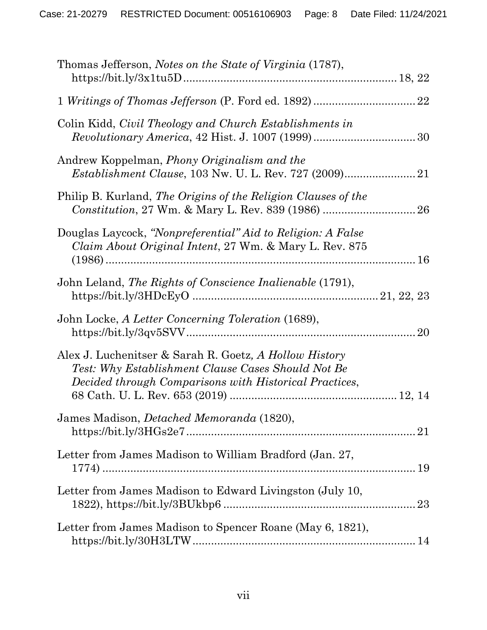| Thomas Jefferson, Notes on the State of Virginia (1787),                                                                                                               |    |
|------------------------------------------------------------------------------------------------------------------------------------------------------------------------|----|
|                                                                                                                                                                        | 22 |
| Colin Kidd, Civil Theology and Church Establishments in                                                                                                                |    |
| Andrew Koppelman, Phony Originalism and the<br><i>Establishment Clause, 103 Nw. U. L. Rev. 727 (2009)</i>                                                              |    |
| Philip B. Kurland, The Origins of the Religion Clauses of the                                                                                                          |    |
| Douglas Laycock, "Nonpreferential" Aid to Religion: A False<br>Claim About Original Intent, 27 Wm. & Mary L. Rev. 875                                                  |    |
| John Leland, The Rights of Conscience Inalienable (1791),                                                                                                              |    |
| John Locke, A Letter Concerning Toleration (1689),                                                                                                                     | 20 |
| Alex J. Luchenitser & Sarah R. Goetz, A Hollow History<br>Test: Why Establishment Clause Cases Should Not Be<br>Decided through Comparisons with Historical Practices, |    |
| James Madison, <i>Detached Memoranda</i> (1820),                                                                                                                       |    |
| Letter from James Madison to William Bradford (Jan. 27,                                                                                                                |    |
| Letter from James Madison to Edward Livingston (July 10,                                                                                                               |    |
| Letter from James Madison to Spencer Roane (May 6, 1821),                                                                                                              |    |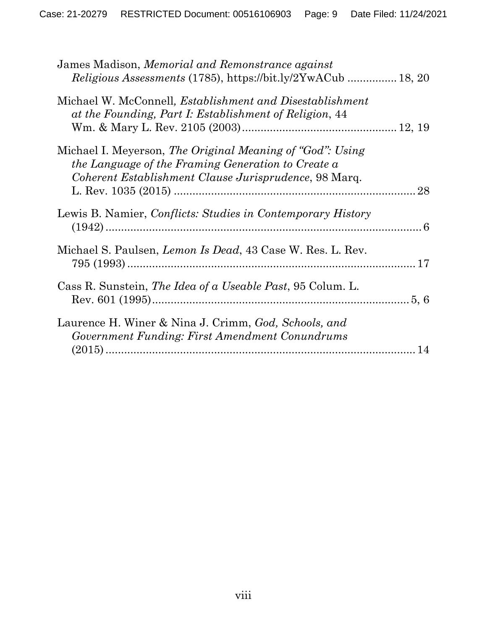| James Madison, Memorial and Remonstrance against<br>Religious Assessments (1785), https://bit.ly/2YwACub  18, 20                                                         |    |
|--------------------------------------------------------------------------------------------------------------------------------------------------------------------------|----|
| Michael W. McConnell, <i>Establishment and Disestablishment</i><br>at the Founding, Part I: Establishment of Religion, 44                                                |    |
| Michael I. Meyerson, The Original Meaning of "God": Using<br>the Language of the Framing Generation to Create a<br>Coherent Establishment Clause Jurisprudence, 98 Marq. | 28 |
| Lewis B. Namier, Conflicts: Studies in Contemporary History                                                                                                              |    |
| Michael S. Paulsen, <i>Lemon Is Dead</i> , 43 Case W. Res. L. Rev.                                                                                                       |    |
| Cass R. Sunstein, <i>The Idea of a Useable Past</i> , 95 Colum. L.                                                                                                       |    |
| Laurence H. Winer & Nina J. Crimm, God, Schools, and<br>Government Funding: First Amendment Conundrums                                                                   |    |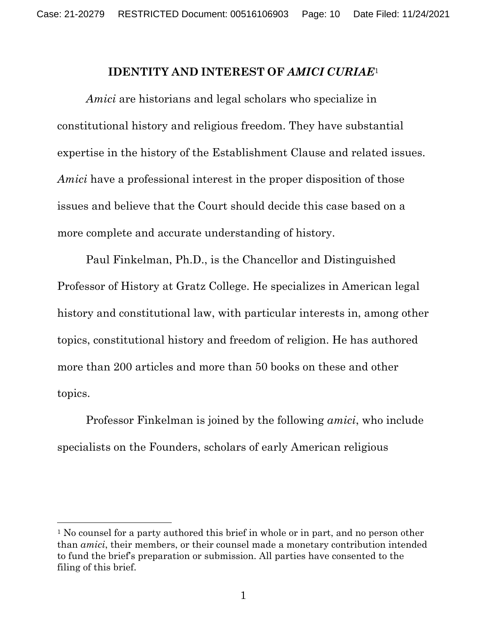#### **IDENTITY AND INTEREST OF** *AMICI CURIAE*<sup>1</sup>

*Amici* are historians and legal scholars who specialize in constitutional history and religious freedom. They have substantial expertise in the history of the Establishment Clause and related issues. *Amici* have a professional interest in the proper disposition of those issues and believe that the Court should decide this case based on a more complete and accurate understanding of history.

Paul Finkelman, Ph.D., is the Chancellor and Distinguished Professor of History at Gratz College. He specializes in American legal history and constitutional law, with particular interests in, among other topics, constitutional history and freedom of religion. He has authored more than 200 articles and more than 50 books on these and other topics.

Professor Finkelman is joined by the following *amici*, who include specialists on the Founders, scholars of early American religious

<sup>&</sup>lt;sup>1</sup> No counsel for a party authored this brief in whole or in part, and no person other than *amici*, their members, or their counsel made a monetary contribution intended to fund the brief's preparation or submission. All parties have consented to the filing of this brief.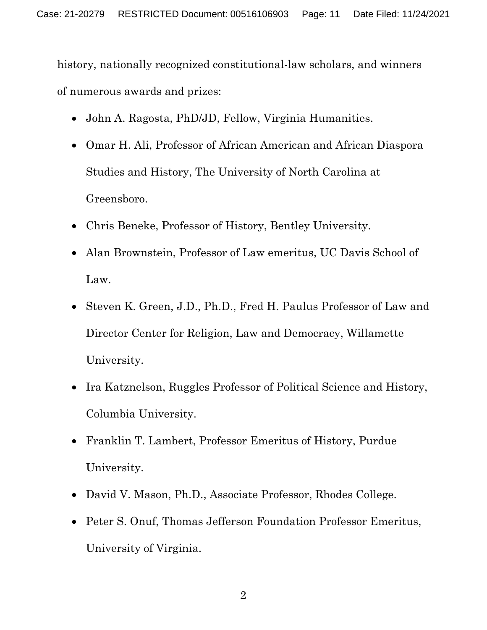history, nationally recognized constitutional-law scholars, and winners of numerous awards and prizes:

- John A. Ragosta, PhD/JD, Fellow, Virginia Humanities.
- Omar H. Ali, Professor of African American and African Diaspora Studies and History, The University of North Carolina at Greensboro.
- Chris Beneke, Professor of History, Bentley University.
- Alan Brownstein, Professor of Law emeritus, UC Davis School of Law.
- Steven K. Green, J.D., Ph.D., Fred H. Paulus Professor of Law and Director Center for Religion, Law and Democracy, Willamette University.
- Ira Katznelson, Ruggles Professor of Political Science and History, Columbia University.
- Franklin T. Lambert, Professor Emeritus of History, Purdue University.
- David V. Mason, Ph.D., Associate Professor, Rhodes College.
- Peter S. Onuf, Thomas Jefferson Foundation Professor Emeritus, University of Virginia.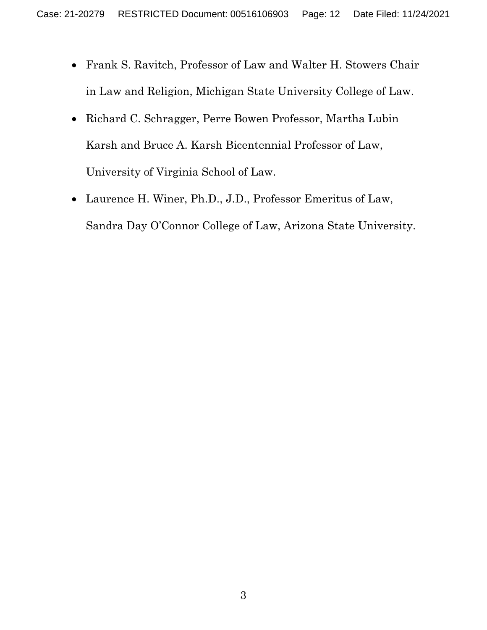- Frank S. Ravitch, Professor of Law and Walter H. Stowers Chair in Law and Religion, Michigan State University College of Law.
- Richard C. Schragger, Perre Bowen Professor, Martha Lubin Karsh and Bruce A. Karsh Bicentennial Professor of Law, University of Virginia School of Law.
- Laurence H. Winer, Ph.D., J.D., Professor Emeritus of Law, Sandra Day O'Connor College of Law, Arizona State University.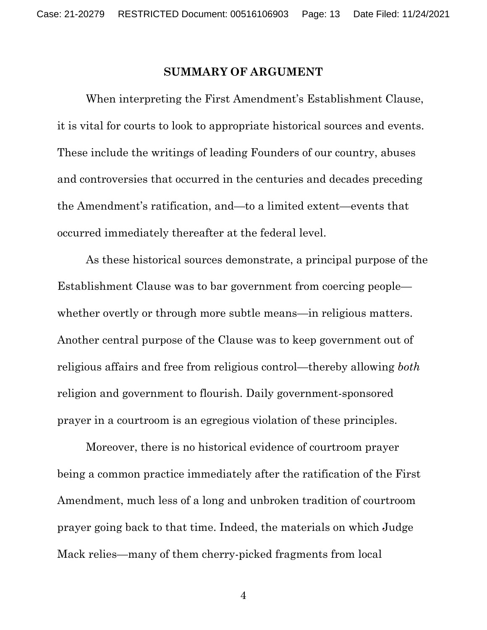#### **SUMMARY OF ARGUMENT**

When interpreting the First Amendment's Establishment Clause, it is vital for courts to look to appropriate historical sources and events. These include the writings of leading Founders of our country, abuses and controversies that occurred in the centuries and decades preceding the Amendment's ratification, and—to a limited extent—events that occurred immediately thereafter at the federal level.

As these historical sources demonstrate, a principal purpose of the Establishment Clause was to bar government from coercing people whether overtly or through more subtle means—in religious matters. Another central purpose of the Clause was to keep government out of religious affairs and free from religious control—thereby allowing *both* religion and government to flourish. Daily government-sponsored prayer in a courtroom is an egregious violation of these principles.

Moreover, there is no historical evidence of courtroom prayer being a common practice immediately after the ratification of the First Amendment, much less of a long and unbroken tradition of courtroom prayer going back to that time. Indeed, the materials on which Judge Mack relies—many of them cherry-picked fragments from local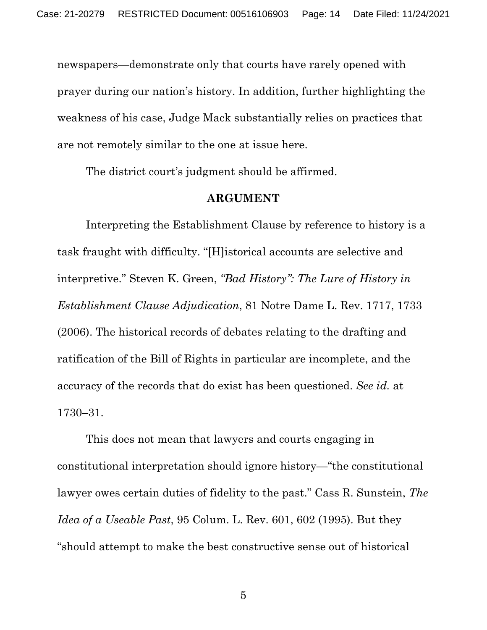newspapers—demonstrate only that courts have rarely opened with prayer during our nation's history. In addition, further highlighting the weakness of his case, Judge Mack substantially relies on practices that are not remotely similar to the one at issue here.

The district court's judgment should be affirmed.

#### **ARGUMENT**

Interpreting the Establishment Clause by reference to history is a task fraught with difficulty. "[H]istorical accounts are selective and interpretive." Steven K. Green, *"Bad History": The Lure of History in Establishment Clause Adjudication*, 81 Notre Dame L. Rev. 1717, 1733 (2006). The historical records of debates relating to the drafting and ratification of the Bill of Rights in particular are incomplete, and the accuracy of the records that do exist has been questioned. *See id.* at 1730–31.

This does not mean that lawyers and courts engaging in constitutional interpretation should ignore history—"the constitutional lawyer owes certain duties of fidelity to the past." Cass R. Sunstein, *The Idea of a Useable Past*, 95 Colum. L. Rev. 601, 602 (1995). But they "should attempt to make the best constructive sense out of historical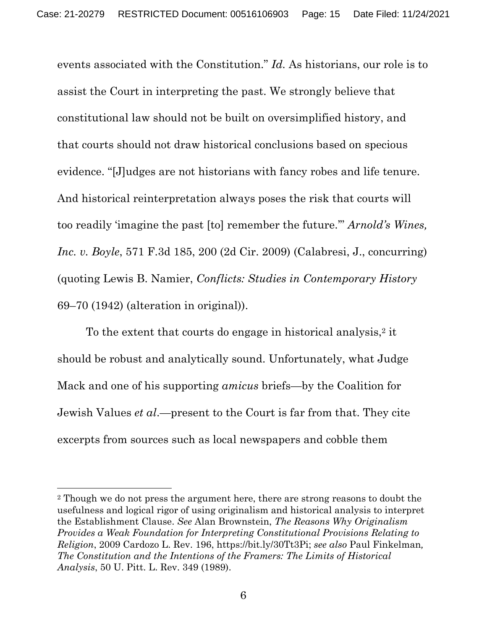events associated with the Constitution." *Id.* As historians, our role is to assist the Court in interpreting the past. We strongly believe that constitutional law should not be built on oversimplified history, and that courts should not draw historical conclusions based on specious evidence. "[J]udges are not historians with fancy robes and life tenure. And historical reinterpretation always poses the risk that courts will too readily 'imagine the past [to] remember the future.'" *Arnold's Wines, Inc. v. Boyle*, 571 F.3d 185, 200 (2d Cir. 2009) (Calabresi, J., concurring) (quoting Lewis B. Namier, *Conflicts: Studies in Contemporary History* 69–70 (1942) (alteration in original)).

To the extent that courts do engage in historical analysis,<sup>2</sup> it should be robust and analytically sound. Unfortunately, what Judge Mack and one of his supporting *amicus* briefs—by the Coalition for Jewish Values *et al*.—present to the Court is far from that. They cite excerpts from sources such as local newspapers and cobble them

<sup>2</sup> Though we do not press the argument here, there are strong reasons to doubt the usefulness and logical rigor of using originalism and historical analysis to interpret the Establishment Clause. *See* Alan Brownstein, *The Reasons Why Originalism Provides a Weak Foundation for Interpreting Constitutional Provisions Relating to Religion*, 2009 Cardozo L. Rev. 196, https://bit.ly/30Tt3Pi; *see also* Paul Finkelman*, The Constitution and the Intentions of the Framers: The Limits of Historical Analysis*, 50 U. Pitt. L. Rev. 349 (1989).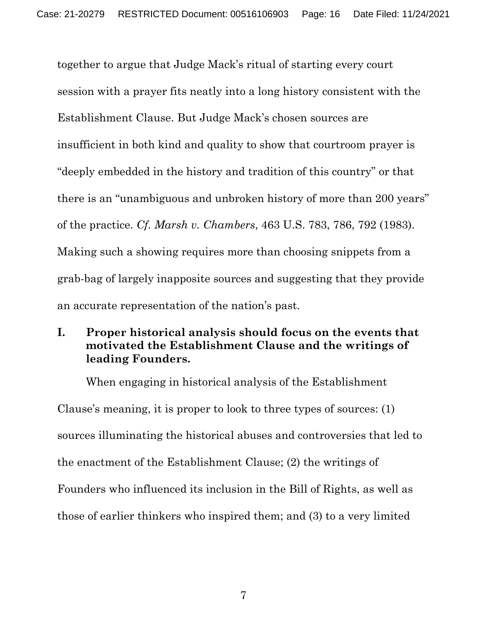together to argue that Judge Mack's ritual of starting every court session with a prayer fits neatly into a long history consistent with the Establishment Clause. But Judge Mack's chosen sources are insufficient in both kind and quality to show that courtroom prayer is "deeply embedded in the history and tradition of this country" or that there is an "unambiguous and unbroken history of more than 200 years" of the practice. *Cf. Marsh v. Chambers*, 463 U.S. 783, 786, 792 (1983). Making such a showing requires more than choosing snippets from a grab-bag of largely inapposite sources and suggesting that they provide an accurate representation of the nation's past.

## **I. Proper historical analysis should focus on the events that motivated the Establishment Clause and the writings of leading Founders.**

When engaging in historical analysis of the Establishment Clause's meaning, it is proper to look to three types of sources: (1) sources illuminating the historical abuses and controversies that led to the enactment of the Establishment Clause; (2) the writings of Founders who influenced its inclusion in the Bill of Rights, as well as those of earlier thinkers who inspired them; and (3) to a very limited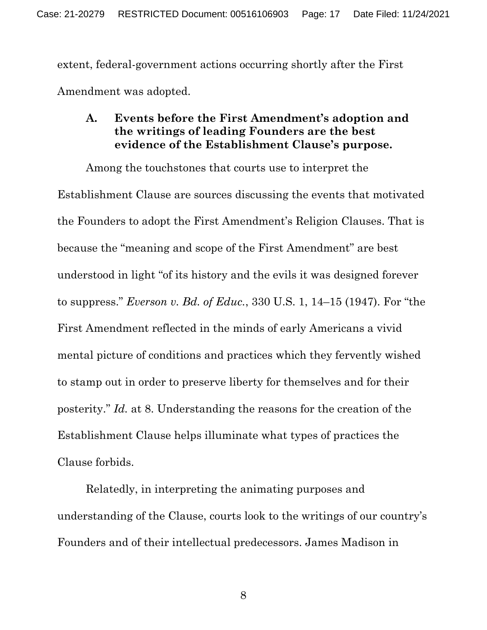extent, federal-government actions occurring shortly after the First Amendment was adopted.

#### **A. Events before the First Amendment's adoption and the writings of leading Founders are the best evidence of the Establishment Clause's purpose.**

Among the touchstones that courts use to interpret the Establishment Clause are sources discussing the events that motivated the Founders to adopt the First Amendment's Religion Clauses. That is because the "meaning and scope of the First Amendment" are best understood in light "of its history and the evils it was designed forever to suppress." *Everson v. Bd. of Educ.*, 330 U.S. 1, 14–15 (1947). For "the First Amendment reflected in the minds of early Americans a vivid mental picture of conditions and practices which they fervently wished to stamp out in order to preserve liberty for themselves and for their posterity." *Id.* at 8. Understanding the reasons for the creation of the Establishment Clause helps illuminate what types of practices the Clause forbids.

Relatedly, in interpreting the animating purposes and understanding of the Clause, courts look to the writings of our country's Founders and of their intellectual predecessors. James Madison in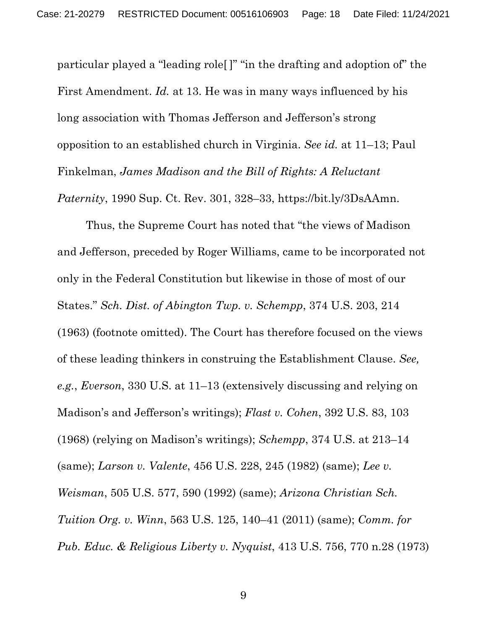particular played a "leading role[ ]" "in the drafting and adoption of" the First Amendment. *Id.* at 13. He was in many ways influenced by his long association with Thomas Jefferson and Jefferson's strong opposition to an established church in Virginia. *See id.* at 11–13; Paul Finkelman, *James Madison and the Bill of Rights: A Reluctant Paternity*, 1990 Sup. Ct. Rev. 301, 328–33, https://bit.ly/3DsAAmn.

Thus, the Supreme Court has noted that "the views of Madison and Jefferson, preceded by Roger Williams, came to be incorporated not only in the Federal Constitution but likewise in those of most of our States." *Sch. Dist. of Abington Twp. v. Schempp*, 374 U.S. 203, 214 (1963) (footnote omitted). The Court has therefore focused on the views of these leading thinkers in construing the Establishment Clause. *See, e.g.*, *Everson*, 330 U.S. at 11–13 (extensively discussing and relying on Madison's and Jefferson's writings); *Flast v. Cohen*, 392 U.S. 83, 103 (1968) (relying on Madison's writings); *Schempp*, 374 U.S. at 213–14 (same); *Larson v. Valente*, 456 U.S. 228, 245 (1982) (same); *Lee v. Weisman*, 505 U.S. 577, 590 (1992) (same); *Arizona Christian Sch. Tuition Org. v. Winn*, 563 U.S. 125, 140–41 (2011) (same); *Comm. for Pub. Educ. & Religious Liberty v. Nyquist*, 413 U.S. 756, 770 n.28 (1973)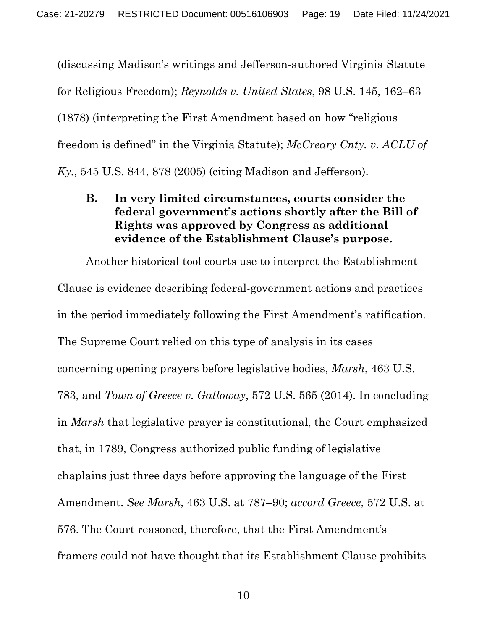(discussing Madison's writings and Jefferson-authored Virginia Statute for Religious Freedom); *Reynolds v. United States*, 98 U.S. 145, 162–63 (1878) (interpreting the First Amendment based on how "religious freedom is defined" in the Virginia Statute); *McCreary Cnty. v. ACLU of Ky.*, 545 U.S. 844, 878 (2005) (citing Madison and Jefferson).

## **B. In very limited circumstances, courts consider the federal government's actions shortly after the Bill of Rights was approved by Congress as additional evidence of the Establishment Clause's purpose.**

Another historical tool courts use to interpret the Establishment Clause is evidence describing federal-government actions and practices in the period immediately following the First Amendment's ratification. The Supreme Court relied on this type of analysis in its cases concerning opening prayers before legislative bodies, *Marsh*, 463 U.S. 783, and *Town of Greece v. Galloway*, 572 U.S. 565 (2014). In concluding in *Marsh* that legislative prayer is constitutional, the Court emphasized that, in 1789, Congress authorized public funding of legislative chaplains just three days before approving the language of the First Amendment. *See Marsh*, 463 U.S. at 787–90; *accord Greece*, 572 U.S. at 576. The Court reasoned, therefore, that the First Amendment's framers could not have thought that its Establishment Clause prohibits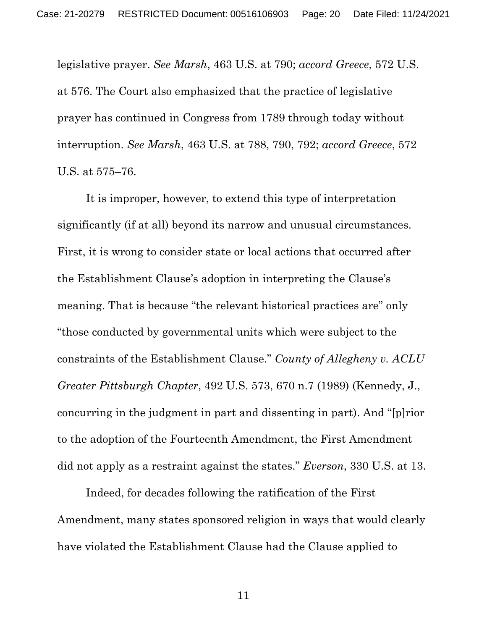legislative prayer. *See Marsh*, 463 U.S. at 790; *accord Greece*, 572 U.S. at 576. The Court also emphasized that the practice of legislative prayer has continued in Congress from 1789 through today without interruption. *See Marsh*, 463 U.S. at 788, 790, 792; *accord Greece*, 572 U.S. at 575–76.

It is improper, however, to extend this type of interpretation significantly (if at all) beyond its narrow and unusual circumstances. First, it is wrong to consider state or local actions that occurred after the Establishment Clause's adoption in interpreting the Clause's meaning. That is because "the relevant historical practices are" only "those conducted by governmental units which were subject to the constraints of the Establishment Clause." *County of Allegheny v. ACLU Greater Pittsburgh Chapter*, 492 U.S. 573, 670 n.7 (1989) (Kennedy, J., concurring in the judgment in part and dissenting in part). And "[p]rior to the adoption of the Fourteenth Amendment, the First Amendment did not apply as a restraint against the states." *Everson*, 330 U.S. at 13.

Indeed, for decades following the ratification of the First Amendment, many states sponsored religion in ways that would clearly have violated the Establishment Clause had the Clause applied to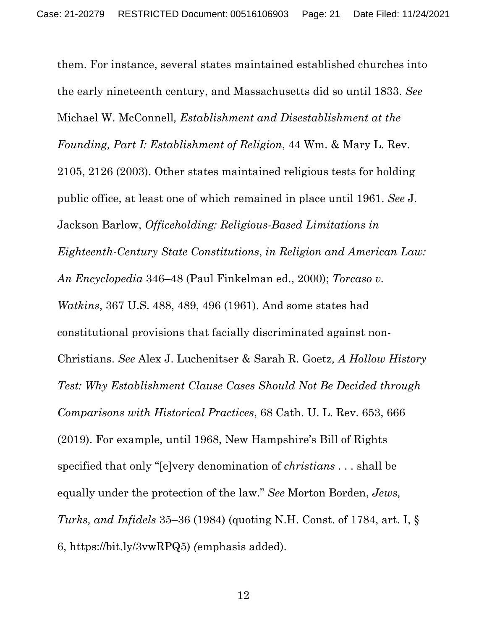them. For instance, several states maintained established churches into the early nineteenth century, and Massachusetts did so until 1833. *See*  Michael W. McConnell*, Establishment and Disestablishment at the Founding, Part I: Establishment of Religion*, 44 Wm. & Mary L. Rev. 2105, 2126 (2003). Other states maintained religious tests for holding public office, at least one of which remained in place until 1961. *See* J. Jackson Barlow, *Officeholding: Religious-Based Limitations in Eighteenth-Century State Constitutions*, *in Religion and American Law: An Encyclopedia* 346–48 (Paul Finkelman ed., 2000); *Torcaso v. Watkins*, 367 U.S. 488, 489, 496 (1961). And some states had constitutional provisions that facially discriminated against non-Christians. *See* Alex J. Luchenitser & Sarah R. Goetz*, A Hollow History Test: Why Establishment Clause Cases Should Not Be Decided through Comparisons with Historical Practices*, 68 Cath. U. L. Rev. 653, 666 (2019). For example, until 1968, New Hampshire's Bill of Rights specified that only "[e]very denomination of *christians* . . . shall be equally under the protection of the law." *See* Morton Borden, *Jews, Turks, and Infidels* 35–36 (1984) (quoting N.H. Const. of 1784, art. I, § 6, https://bit.ly/3vwRPQ5) *(*emphasis added).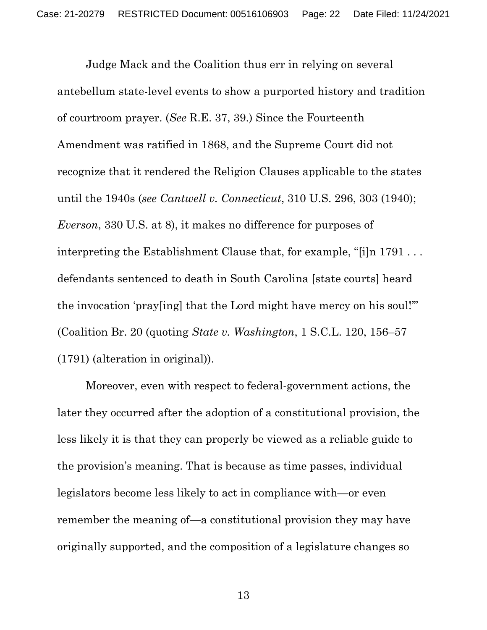Judge Mack and the Coalition thus err in relying on several antebellum state-level events to show a purported history and tradition of courtroom prayer. (*See* R.E. 37, 39.) Since the Fourteenth Amendment was ratified in 1868, and the Supreme Court did not recognize that it rendered the Religion Clauses applicable to the states until the 1940s (*see Cantwell v. Connecticut*, 310 U.S. 296, 303 (1940); *Everson*, 330 U.S. at 8), it makes no difference for purposes of interpreting the Establishment Clause that, for example, "[i]n 1791 . . . defendants sentenced to death in South Carolina [state courts] heard the invocation 'pray[ing] that the Lord might have mercy on his soul!'" (Coalition Br. 20 (quoting *State v. Washington*, 1 S.C.L. 120, 156–57 (1791) (alteration in original)).

Moreover, even with respect to federal-government actions, the later they occurred after the adoption of a constitutional provision, the less likely it is that they can properly be viewed as a reliable guide to the provision's meaning. That is because as time passes, individual legislators become less likely to act in compliance with—or even remember the meaning of—a constitutional provision they may have originally supported, and the composition of a legislature changes so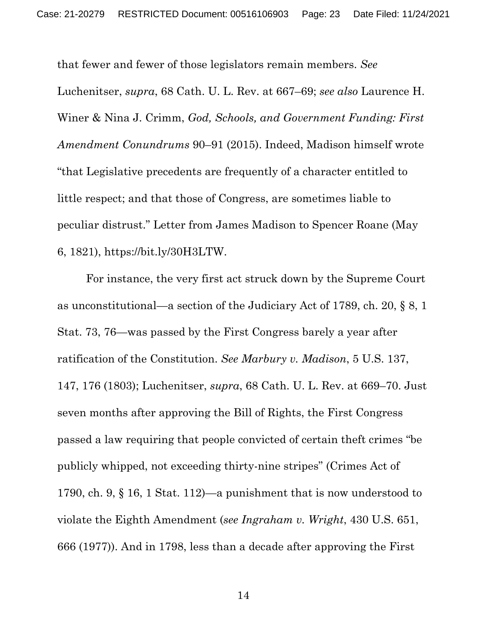that fewer and fewer of those legislators remain members. *See* 

Luchenitser, *supra*, 68 Cath. U. L. Rev. at 667–69; *see also* Laurence H. Winer & Nina J. Crimm, *God, Schools, and Government Funding: First Amendment Conundrums* 90–91 (2015). Indeed, Madison himself wrote "that Legislative precedents are frequently of a character entitled to little respect; and that those of Congress, are sometimes liable to peculiar distrust." Letter from James Madison to Spencer Roane (May 6, 1821), https://bit.ly/30H3LTW.

For instance, the very first act struck down by the Supreme Court as unconstitutional—a section of the Judiciary Act of 1789, ch. 20, § 8, 1 Stat. 73, 76—was passed by the First Congress barely a year after ratification of the Constitution. *See Marbury v. Madison*, 5 U.S. 137, 147, 176 (1803); Luchenitser, *supra*, 68 Cath. U. L. Rev. at 669–70. Just seven months after approving the Bill of Rights, the First Congress passed a law requiring that people convicted of certain theft crimes "be publicly whipped, not exceeding thirty-nine stripes" (Crimes Act of 1790, ch. 9, § 16, 1 Stat. 112)—a punishment that is now understood to violate the Eighth Amendment (*see Ingraham v. Wright*, 430 U.S. 651, 666 (1977)). And in 1798, less than a decade after approving the First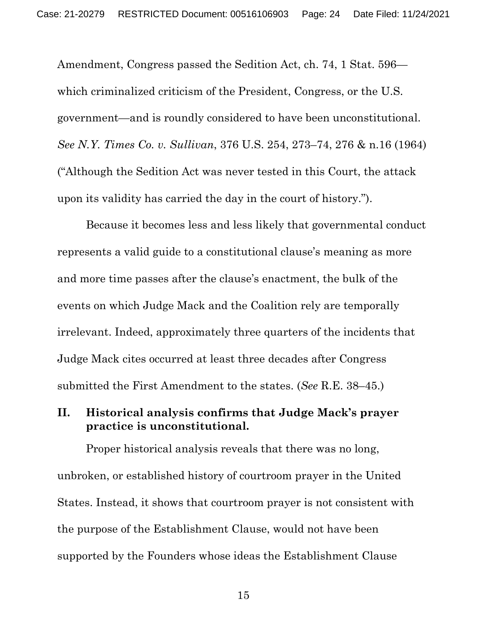Amendment, Congress passed the Sedition Act, ch. 74, 1 Stat. 596 which criminalized criticism of the President, Congress, or the U.S. government—and is roundly considered to have been unconstitutional. *See N.Y. Times Co. v. Sullivan*, 376 U.S. 254, 273–74, 276 & n.16 (1964) ("Although the Sedition Act was never tested in this Court, the attack upon its validity has carried the day in the court of history.").

Because it becomes less and less likely that governmental conduct represents a valid guide to a constitutional clause's meaning as more and more time passes after the clause's enactment, the bulk of the events on which Judge Mack and the Coalition rely are temporally irrelevant. Indeed, approximately three quarters of the incidents that Judge Mack cites occurred at least three decades after Congress submitted the First Amendment to the states. (*See* R.E. 38–45.)

## **II. Historical analysis confirms that Judge Mack's prayer practice is unconstitutional.**

Proper historical analysis reveals that there was no long, unbroken, or established history of courtroom prayer in the United States. Instead, it shows that courtroom prayer is not consistent with the purpose of the Establishment Clause, would not have been supported by the Founders whose ideas the Establishment Clause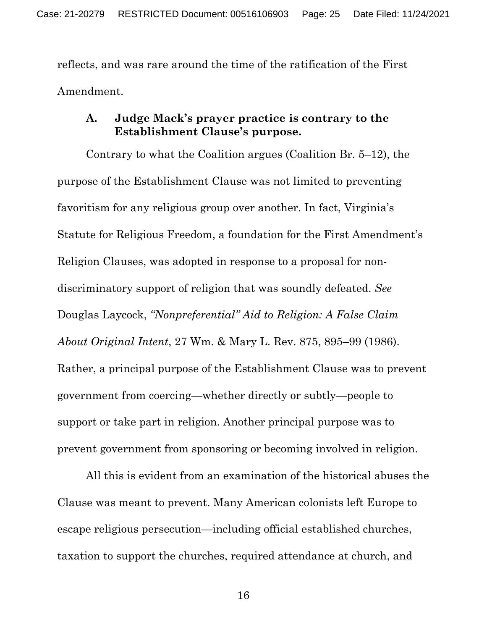reflects, and was rare around the time of the ratification of the First Amendment.

#### **A. Judge Mack's prayer practice is contrary to the Establishment Clause's purpose.**

Contrary to what the Coalition argues (Coalition Br. 5–12), the purpose of the Establishment Clause was not limited to preventing favoritism for any religious group over another. In fact, Virginia's Statute for Religious Freedom, a foundation for the First Amendment's Religion Clauses, was adopted in response to a proposal for nondiscriminatory support of religion that was soundly defeated. *See* Douglas Laycock, *"Nonpreferential" Aid to Religion: A False Claim About Original Intent*, 27 Wm. & Mary L. Rev. 875, 895–99 (1986). Rather, a principal purpose of the Establishment Clause was to prevent government from coercing—whether directly or subtly—people to support or take part in religion. Another principal purpose was to prevent government from sponsoring or becoming involved in religion.

All this is evident from an examination of the historical abuses the Clause was meant to prevent. Many American colonists left Europe to escape religious persecution—including official established churches, taxation to support the churches, required attendance at church, and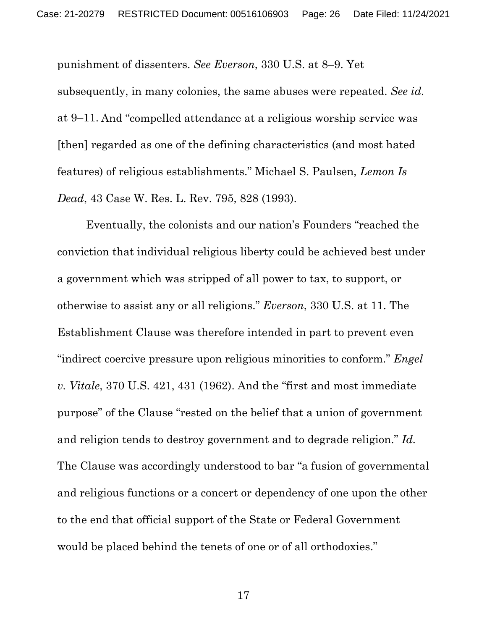punishment of dissenters. *See Everson*, 330 U.S. at 8–9. Yet subsequently, in many colonies, the same abuses were repeated. *See id.*  at 9–11. And "compelled attendance at a religious worship service was [then] regarded as one of the defining characteristics (and most hated features) of religious establishments." Michael S. Paulsen, *Lemon Is Dead*, 43 Case W. Res. L. Rev. 795, 828 (1993).

Eventually, the colonists and our nation's Founders "reached the conviction that individual religious liberty could be achieved best under a government which was stripped of all power to tax, to support, or otherwise to assist any or all religions." *Everson*, 330 U.S. at 11. The Establishment Clause was therefore intended in part to prevent even "indirect coercive pressure upon religious minorities to conform." *Engel v. Vitale*, 370 U.S. 421, 431 (1962). And the "first and most immediate purpose" of the Clause "rested on the belief that a union of government and religion tends to destroy government and to degrade religion." *Id.* The Clause was accordingly understood to bar "a fusion of governmental and religious functions or a concert or dependency of one upon the other to the end that official support of the State or Federal Government would be placed behind the tenets of one or of all orthodoxies."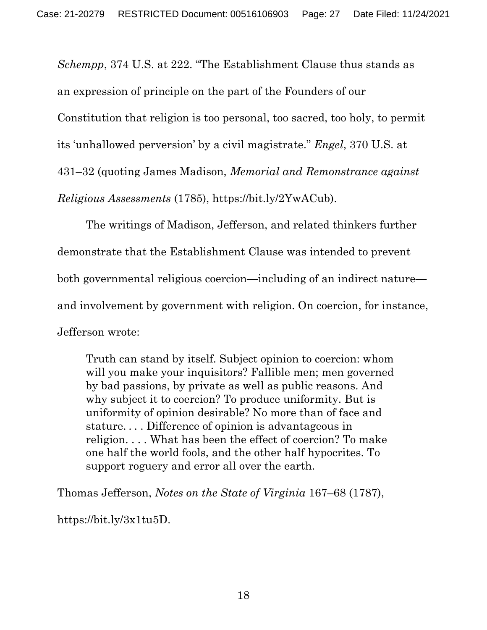*Schempp*, 374 U.S. at 222. "The Establishment Clause thus stands as an expression of principle on the part of the Founders of our Constitution that religion is too personal, too sacred, too holy, to permit its 'unhallowed perversion' by a civil magistrate." *Engel*, 370 U.S. at 431–32 (quoting James Madison, *Memorial and Remonstrance against Religious Assessments* (1785), https://bit.ly/2YwACub).

The writings of Madison, Jefferson, and related thinkers further demonstrate that the Establishment Clause was intended to prevent both governmental religious coercion—including of an indirect nature and involvement by government with religion. On coercion, for instance, Jefferson wrote:

Truth can stand by itself. Subject opinion to coercion: whom will you make your inquisitors? Fallible men; men governed by bad passions, by private as well as public reasons. And why subject it to coercion? To produce uniformity. But is uniformity of opinion desirable? No more than of face and stature. . . . Difference of opinion is advantageous in religion. . . . What has been the effect of coercion? To make one half the world fools, and the other half hypocrites. To support roguery and error all over the earth.

Thomas Jefferson, *Notes on the State of Virginia* 167–68 (1787),

https://bit.ly/3x1tu5D.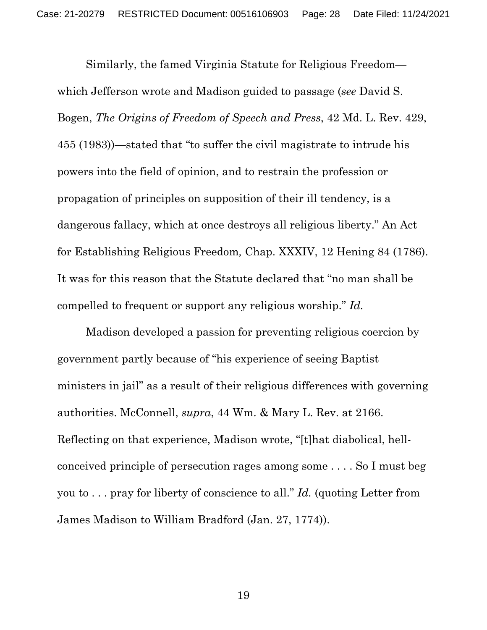Similarly, the famed Virginia Statute for Religious Freedom which Jefferson wrote and Madison guided to passage (*see* David S. Bogen, *The Origins of Freedom of Speech and Press*, 42 Md. L. Rev. 429, 455 (1983))—stated that "to suffer the civil magistrate to intrude his powers into the field of opinion, and to restrain the profession or propagation of principles on supposition of their ill tendency, is a dangerous fallacy, which at once destroys all religious liberty." An Act for Establishing Religious Freedom*,* Chap. XXXIV, 12 Hening 84 (1786). It was for this reason that the Statute declared that "no man shall be compelled to frequent or support any religious worship." *Id.*

Madison developed a passion for preventing religious coercion by government partly because of "his experience of seeing Baptist ministers in jail" as a result of their religious differences with governing authorities. McConnell, *supra*, 44 Wm. & Mary L. Rev. at 2166. Reflecting on that experience, Madison wrote, "[t]hat diabolical, hellconceived principle of persecution rages among some . . . . So I must beg you to . . . pray for liberty of conscience to all." *Id.* (quoting Letter from James Madison to William Bradford (Jan. 27, 1774)).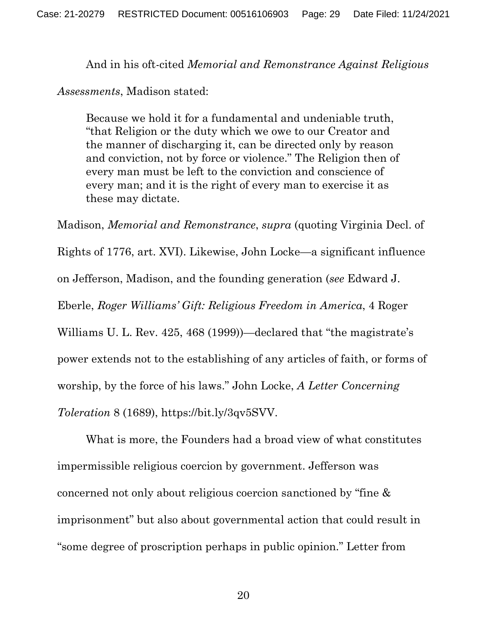And in his oft-cited *Memorial and Remonstrance Against Religious* 

*Assessments*, Madison stated:

Because we hold it for a fundamental and undeniable truth, "that Religion or the duty which we owe to our Creator and the manner of discharging it, can be directed only by reason and conviction, not by force or violence." The Religion then of every man must be left to the conviction and conscience of every man; and it is the right of every man to exercise it as these may dictate.

Madison, *Memorial and Remonstrance*, *supra* (quoting Virginia Decl. of Rights of 1776, art. XVI). Likewise, John Locke—a significant influence on Jefferson, Madison, and the founding generation (*see* Edward J. Eberle, *Roger Williams' Gift: Religious Freedom in America*, 4 Roger Williams U. L. Rev. 425, 468 (1999))—declared that "the magistrate's power extends not to the establishing of any articles of faith, or forms of worship, by the force of his laws." John Locke, *A Letter Concerning Toleration* 8 (1689), https://bit.ly/3qv5SVV.

What is more, the Founders had a broad view of what constitutes impermissible religious coercion by government. Jefferson was concerned not only about religious coercion sanctioned by "fine & imprisonment" but also about governmental action that could result in "some degree of proscription perhaps in public opinion." Letter from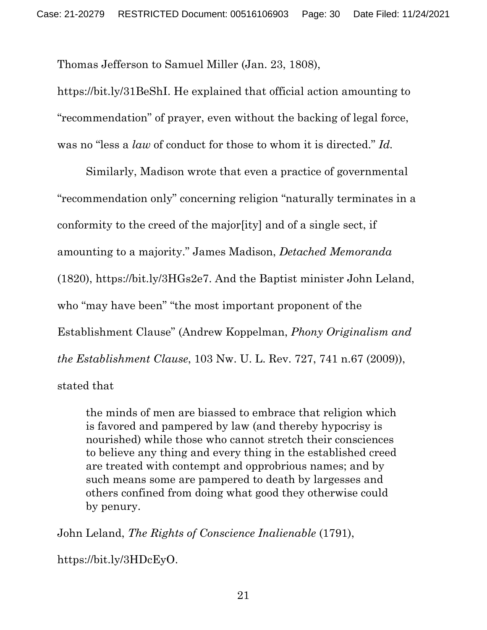Thomas Jefferson to Samuel Miller (Jan. 23, 1808),

https://bit.ly/31BeShI. He explained that official action amounting to "recommendation" of prayer, even without the backing of legal force, was no "less a *law* of conduct for those to whom it is directed." *Id.* 

Similarly, Madison wrote that even a practice of governmental "recommendation only" concerning religion "naturally terminates in a conformity to the creed of the major[ity] and of a single sect, if amounting to a majority." James Madison, *Detached Memoranda*  (1820), https://bit.ly/3HGs2e7. And the Baptist minister John Leland, who "may have been" "the most important proponent of the Establishment Clause" (Andrew Koppelman, *Phony Originalism and the Establishment Clause*, 103 Nw. U. L. Rev. 727, 741 n.67 (2009)), stated that

the minds of men are biassed to embrace that religion which is favored and pampered by law (and thereby hypocrisy is nourished) while those who cannot stretch their consciences to believe any thing and every thing in the established creed are treated with contempt and opprobrious names; and by such means some are pampered to death by largesses and others confined from doing what good they otherwise could by penury.

John Leland, *The Rights of Conscience Inalienable* (1791),

https://bit.ly/3HDcEyO.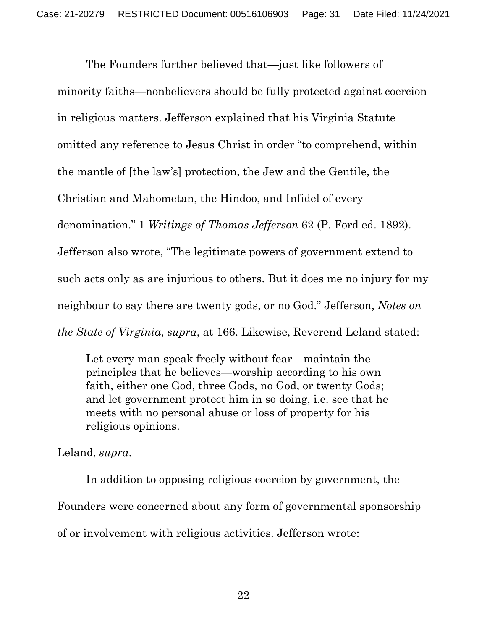The Founders further believed that—just like followers of minority faiths—nonbelievers should be fully protected against coercion in religious matters. Jefferson explained that his Virginia Statute omitted any reference to Jesus Christ in order "to comprehend, within the mantle of [the law's] protection, the Jew and the Gentile, the Christian and Mahometan, the Hindoo, and Infidel of every denomination." 1 *Writings of Thomas Jefferson* 62 (P. Ford ed. 1892). Jefferson also wrote, "The legitimate powers of government extend to such acts only as are injurious to others. But it does me no injury for my neighbour to say there are twenty gods, or no God." Jefferson, *Notes on the State of Virginia*, *supra*, at 166. Likewise, Reverend Leland stated:

Let every man speak freely without fear—maintain the principles that he believes—worship according to his own faith, either one God, three Gods, no God, or twenty Gods; and let government protect him in so doing, i.e. see that he meets with no personal abuse or loss of property for his religious opinions.

Leland, *supra*.

 In addition to opposing religious coercion by government, the Founders were concerned about any form of governmental sponsorship of or involvement with religious activities. Jefferson wrote: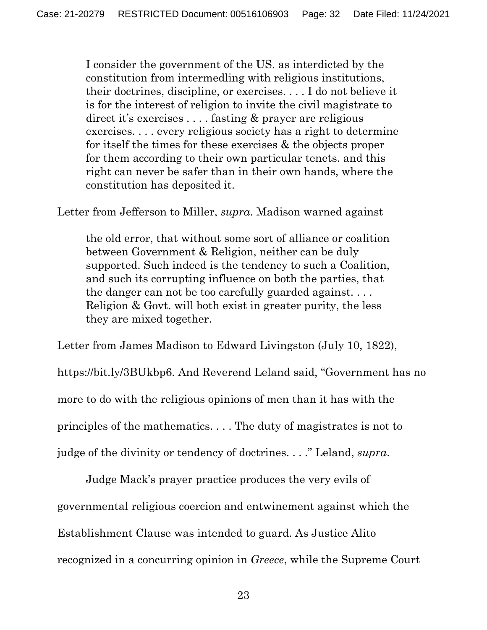I consider the government of the US. as interdicted by the constitution from intermedling with religious institutions, their doctrines, discipline, or exercises. . . . I do not believe it is for the interest of religion to invite the civil magistrate to direct it's exercises . . . . fasting & prayer are religious exercises. . . . every religious society has a right to determine for itself the times for these exercises & the objects proper for them according to their own particular tenets. and this right can never be safer than in their own hands, where the constitution has deposited it.

Letter from Jefferson to Miller, *supra*. Madison warned against

the old error, that without some sort of alliance or coalition between Government & Religion, neither can be duly supported. Such indeed is the tendency to such a Coalition, and such its corrupting influence on both the parties, that the danger can not be too carefully guarded against. . . . Religion & Govt. will both exist in greater purity, the less they are mixed together.

Letter from James Madison to Edward Livingston (July 10, 1822), https://bit.ly/3BUkbp6. And Reverend Leland said, "Government has no more to do with the religious opinions of men than it has with the principles of the mathematics. . . . The duty of magistrates is not to judge of the divinity or tendency of doctrines. . . ." Leland, *supra*.

 Judge Mack's prayer practice produces the very evils of governmental religious coercion and entwinement against which the Establishment Clause was intended to guard. As Justice Alito recognized in a concurring opinion in *Greece*, while the Supreme Court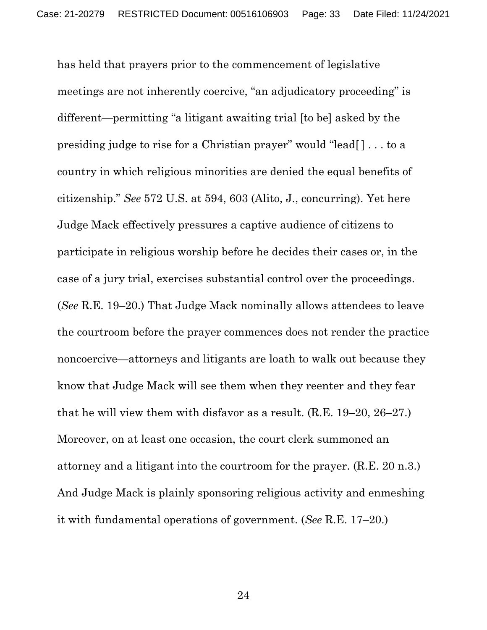has held that prayers prior to the commencement of legislative meetings are not inherently coercive, "an adjudicatory proceeding" is different—permitting "a litigant awaiting trial [to be] asked by the presiding judge to rise for a Christian prayer" would "lead[ ] . . . to a country in which religious minorities are denied the equal benefits of citizenship." *See* 572 U.S. at 594, 603 (Alito, J., concurring). Yet here Judge Mack effectively pressures a captive audience of citizens to participate in religious worship before he decides their cases or, in the case of a jury trial, exercises substantial control over the proceedings. (*See* R.E. 19–20.) That Judge Mack nominally allows attendees to leave the courtroom before the prayer commences does not render the practice noncoercive—attorneys and litigants are loath to walk out because they know that Judge Mack will see them when they reenter and they fear that he will view them with disfavor as a result. (R.E. 19–20, 26–27.) Moreover, on at least one occasion, the court clerk summoned an attorney and a litigant into the courtroom for the prayer. (R.E. 20 n.3.) And Judge Mack is plainly sponsoring religious activity and enmeshing it with fundamental operations of government. (*See* R.E. 17–20.)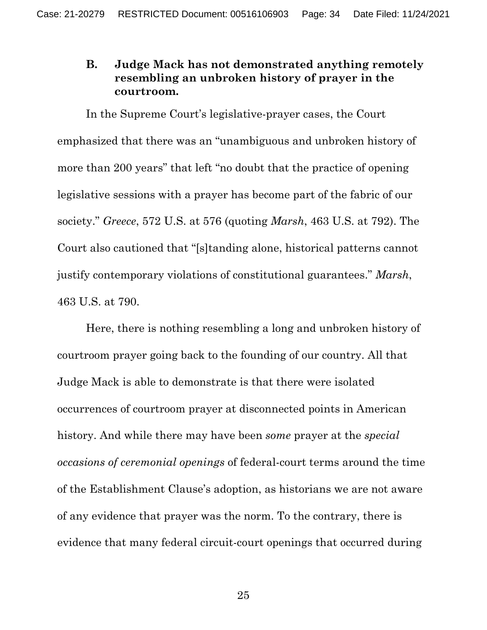## **B. Judge Mack has not demonstrated anything remotely resembling an unbroken history of prayer in the courtroom.**

In the Supreme Court's legislative-prayer cases, the Court emphasized that there was an "unambiguous and unbroken history of more than 200 years" that left "no doubt that the practice of opening legislative sessions with a prayer has become part of the fabric of our society." *Greece*, 572 U.S. at 576 (quoting *Marsh*, 463 U.S. at 792). The Court also cautioned that "[s]tanding alone, historical patterns cannot justify contemporary violations of constitutional guarantees." *Marsh*, 463 U.S. at 790.

Here, there is nothing resembling a long and unbroken history of courtroom prayer going back to the founding of our country. All that Judge Mack is able to demonstrate is that there were isolated occurrences of courtroom prayer at disconnected points in American history. And while there may have been *some* prayer at the *special occasions of ceremonial openings* of federal-court terms around the time of the Establishment Clause's adoption, as historians we are not aware of any evidence that prayer was the norm. To the contrary, there is evidence that many federal circuit-court openings that occurred during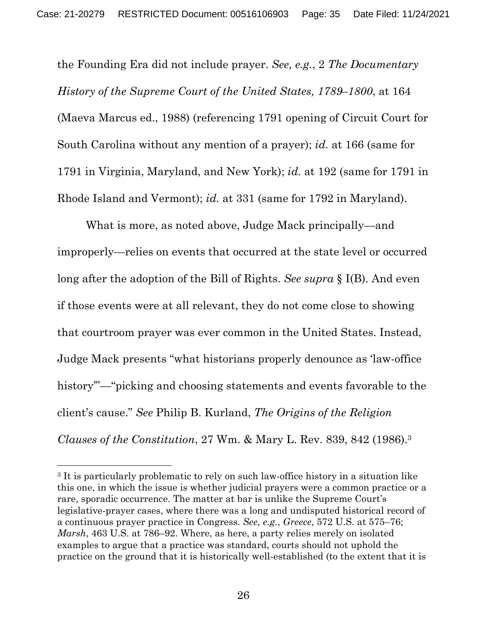the Founding Era did not include prayer. *See, e.g.*, 2 *The Documentary History of the Supreme Court of the United States, 1789–1800*, at 164 (Maeva Marcus ed., 1988) (referencing 1791 opening of Circuit Court for South Carolina without any mention of a prayer); *id.* at 166 (same for 1791 in Virginia, Maryland, and New York); *id.* at 192 (same for 1791 in Rhode Island and Vermont); *id.* at 331 (same for 1792 in Maryland).

What is more, as noted above, Judge Mack principally—and improperly—relies on events that occurred at the state level or occurred long after the adoption of the Bill of Rights. *See supra* § I(B). And even if those events were at all relevant, they do not come close to showing that courtroom prayer was ever common in the United States. Instead, Judge Mack presents "what historians properly denounce as 'law-office history"—"picking and choosing statements and events favorable to the client's cause." *See* Philip B. Kurland, *The Origins of the Religion Clauses of the Constitution*, 27 Wm. & Mary L. Rev. 839, 842 (1986).3

<sup>&</sup>lt;sup>3</sup> It is particularly problematic to rely on such law-office history in a situation like this one, in which the issue is whether judicial prayers were a common practice or a rare, sporadic occurrence. The matter at bar is unlike the Supreme Court's legislative-prayer cases, where there was a long and undisputed historical record of a continuous prayer practice in Congress. *See, e.g.*, *Greece*, 572 U.S. at 575–76; *Marsh*, 463 U.S. at 786–92. Where, as here, a party relies merely on isolated examples to argue that a practice was standard, courts should not uphold the practice on the ground that it is historically well-established (to the extent that it is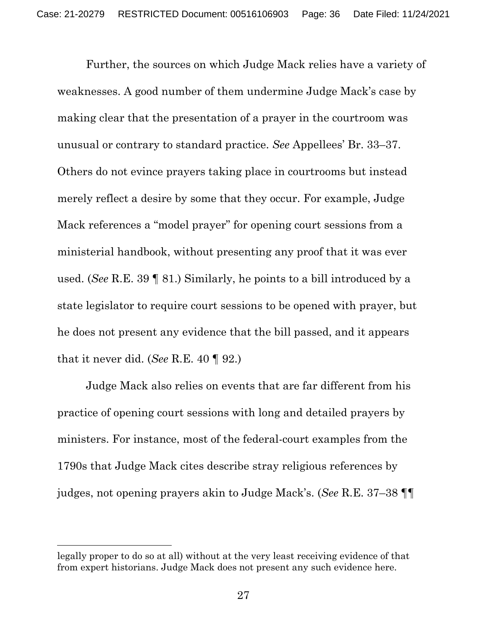Further, the sources on which Judge Mack relies have a variety of weaknesses. A good number of them undermine Judge Mack's case by making clear that the presentation of a prayer in the courtroom was unusual or contrary to standard practice. *See* Appellees' Br. 33–37. Others do not evince prayers taking place in courtrooms but instead merely reflect a desire by some that they occur. For example, Judge Mack references a "model prayer" for opening court sessions from a ministerial handbook, without presenting any proof that it was ever used. (*See* R.E. 39 ¶ 81.) Similarly, he points to a bill introduced by a state legislator to require court sessions to be opened with prayer, but he does not present any evidence that the bill passed, and it appears that it never did. (*See* R.E. 40 ¶ 92.)

Judge Mack also relies on events that are far different from his practice of opening court sessions with long and detailed prayers by ministers. For instance, most of the federal-court examples from the 1790s that Judge Mack cites describe stray religious references by judges, not opening prayers akin to Judge Mack's. (*See* R.E. 37–38 ¶¶

legally proper to do so at all) without at the very least receiving evidence of that from expert historians. Judge Mack does not present any such evidence here.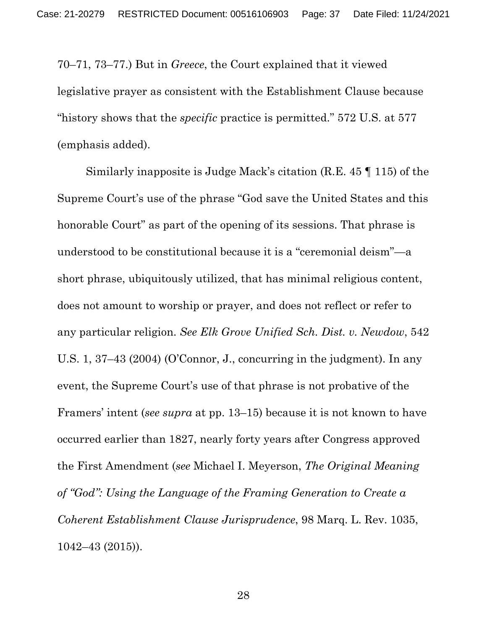70–71, 73–77.) But in *Greece*, the Court explained that it viewed legislative prayer as consistent with the Establishment Clause because "history shows that the *specific* practice is permitted." 572 U.S. at 577 (emphasis added).

Similarly inapposite is Judge Mack's citation (R.E. 45 ¶ 115) of the Supreme Court's use of the phrase "God save the United States and this honorable Court" as part of the opening of its sessions. That phrase is understood to be constitutional because it is a "ceremonial deism"—a short phrase, ubiquitously utilized, that has minimal religious content, does not amount to worship or prayer, and does not reflect or refer to any particular religion. *See Elk Grove Unified Sch. Dist. v. Newdow*, 542 U.S. 1, 37–43 (2004) (O'Connor, J., concurring in the judgment). In any event, the Supreme Court's use of that phrase is not probative of the Framers' intent (*see supra* at pp. 13–15) because it is not known to have occurred earlier than 1827, nearly forty years after Congress approved the First Amendment (*see* Michael I. Meyerson, *The Original Meaning of "God": Using the Language of the Framing Generation to Create a Coherent Establishment Clause Jurisprudence*, 98 Marq. L. Rev. 1035, 1042–43 (2015)).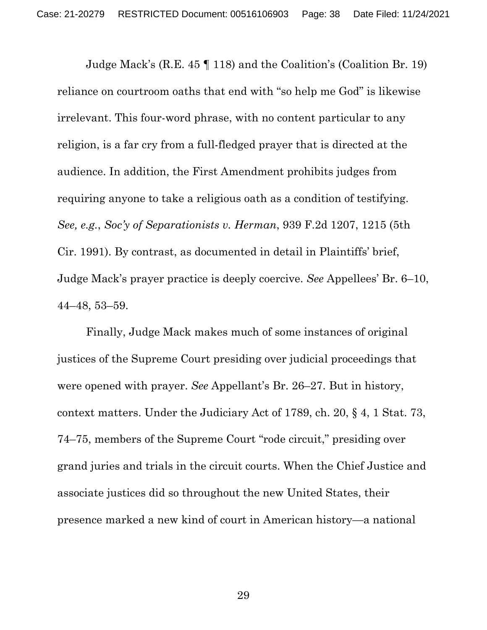Judge Mack's (R.E. 45 ¶ 118) and the Coalition's (Coalition Br. 19) reliance on courtroom oaths that end with "so help me God" is likewise irrelevant. This four-word phrase, with no content particular to any religion, is a far cry from a full-fledged prayer that is directed at the audience. In addition, the First Amendment prohibits judges from requiring anyone to take a religious oath as a condition of testifying. *See, e.g.*, *Soc'y of Separationists v. Herman*, 939 F.2d 1207, 1215 (5th Cir. 1991). By contrast, as documented in detail in Plaintiffs' brief, Judge Mack's prayer practice is deeply coercive. *See* Appellees' Br. 6–10, 44–48, 53–59.

Finally, Judge Mack makes much of some instances of original justices of the Supreme Court presiding over judicial proceedings that were opened with prayer. *See* Appellant's Br. 26–27. But in history, context matters. Under the Judiciary Act of 1789, ch. 20, § 4, 1 Stat. 73, 74–75, members of the Supreme Court "rode circuit," presiding over grand juries and trials in the circuit courts. When the Chief Justice and associate justices did so throughout the new United States, their presence marked a new kind of court in American history—a national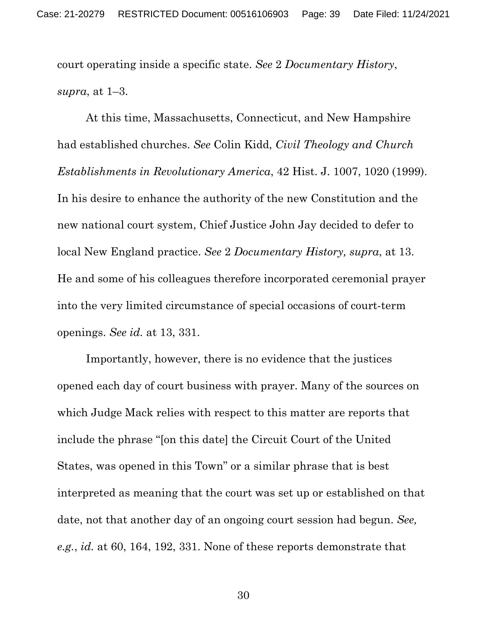court operating inside a specific state. *See* 2 *Documentary History*, *supra*, at 1–3.

At this time, Massachusetts, Connecticut, and New Hampshire had established churches. *See* Colin Kidd, *Civil Theology and Church Establishments in Revolutionary America*, 42 Hist. J. 1007, 1020 (1999). In his desire to enhance the authority of the new Constitution and the new national court system, Chief Justice John Jay decided to defer to local New England practice. *See* 2 *Documentary History, supra*, at 13. He and some of his colleagues therefore incorporated ceremonial prayer into the very limited circumstance of special occasions of court-term openings. *See id.* at 13, 331.

Importantly, however, there is no evidence that the justices opened each day of court business with prayer. Many of the sources on which Judge Mack relies with respect to this matter are reports that include the phrase "[on this date] the Circuit Court of the United States, was opened in this Town" or a similar phrase that is best interpreted as meaning that the court was set up or established on that date, not that another day of an ongoing court session had begun. *See, e.g.*, *id.* at 60, 164, 192, 331. None of these reports demonstrate that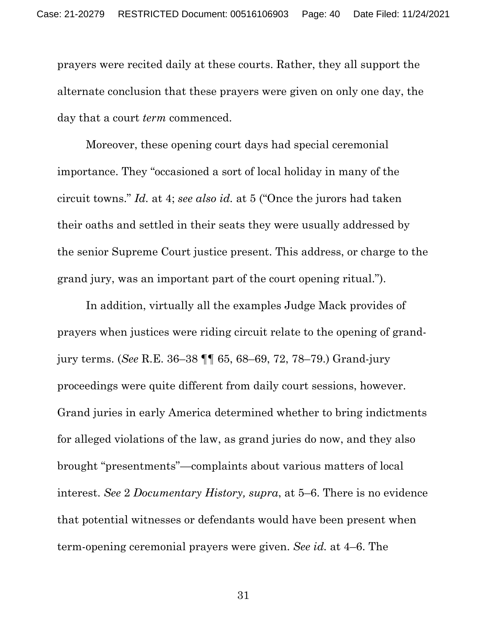prayers were recited daily at these courts. Rather, they all support the alternate conclusion that these prayers were given on only one day, the day that a court *term* commenced.

Moreover, these opening court days had special ceremonial importance. They "occasioned a sort of local holiday in many of the circuit towns." *Id.* at 4; *see also id.* at 5 ("Once the jurors had taken their oaths and settled in their seats they were usually addressed by the senior Supreme Court justice present. This address, or charge to the grand jury, was an important part of the court opening ritual.").

In addition, virtually all the examples Judge Mack provides of prayers when justices were riding circuit relate to the opening of grandjury terms. (*See* R.E. 36–38 ¶¶ 65, 68–69, 72, 78–79.) Grand-jury proceedings were quite different from daily court sessions, however. Grand juries in early America determined whether to bring indictments for alleged violations of the law, as grand juries do now, and they also brought "presentments"—complaints about various matters of local interest. *See* 2 *Documentary History, supra*, at 5–6. There is no evidence that potential witnesses or defendants would have been present when term-opening ceremonial prayers were given. *See id.* at 4–6. The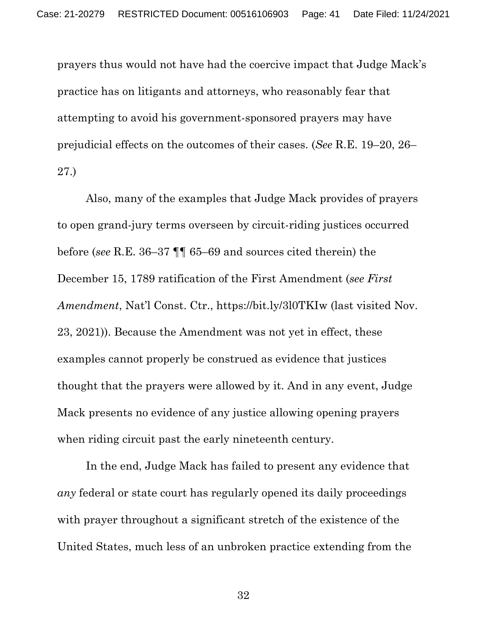prayers thus would not have had the coercive impact that Judge Mack's practice has on litigants and attorneys, who reasonably fear that attempting to avoid his government-sponsored prayers may have prejudicial effects on the outcomes of their cases. (*See* R.E. 19–20, 26– 27.)

Also, many of the examples that Judge Mack provides of prayers to open grand-jury terms overseen by circuit-riding justices occurred before (*see* R.E. 36–37 ¶¶ 65–69 and sources cited therein) the December 15, 1789 ratification of the First Amendment (*see First Amendment*, Nat'l Const. Ctr., https://bit.ly/3l0TKIw (last visited Nov. 23, 2021)). Because the Amendment was not yet in effect, these examples cannot properly be construed as evidence that justices thought that the prayers were allowed by it. And in any event, Judge Mack presents no evidence of any justice allowing opening prayers when riding circuit past the early nineteenth century.

In the end, Judge Mack has failed to present any evidence that *any* federal or state court has regularly opened its daily proceedings with prayer throughout a significant stretch of the existence of the United States, much less of an unbroken practice extending from the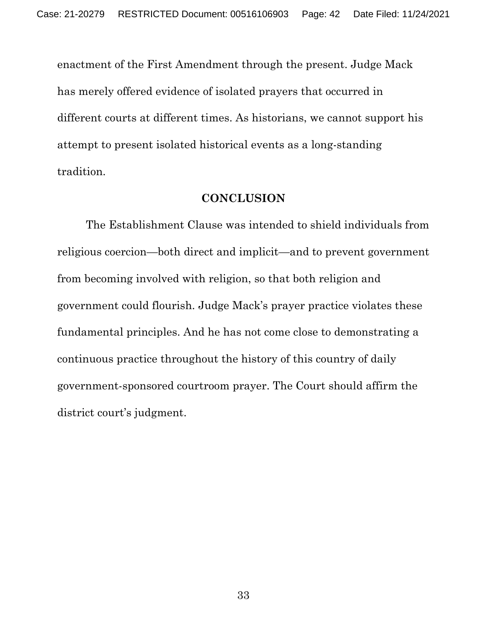enactment of the First Amendment through the present. Judge Mack has merely offered evidence of isolated prayers that occurred in different courts at different times. As historians, we cannot support his attempt to present isolated historical events as a long-standing tradition.

#### **CONCLUSION**

The Establishment Clause was intended to shield individuals from religious coercion—both direct and implicit—and to prevent government from becoming involved with religion, so that both religion and government could flourish. Judge Mack's prayer practice violates these fundamental principles. And he has not come close to demonstrating a continuous practice throughout the history of this country of daily government-sponsored courtroom prayer. The Court should affirm the district court's judgment.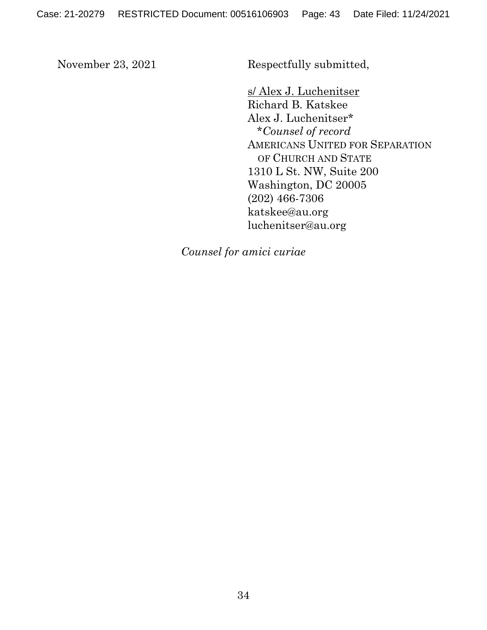November 23, 2021 Respectfully submitted,

s/ Alex J. Luchenitser Richard B. Katskee Alex J. Luchenitser\* \**Counsel of record* AMERICANS UNITED FOR SEPARATION OF CHURCH AND STATE 1310 L St. NW, Suite 200 Washington, DC 20005 (202) 466-7306 katskee@au.org luchenitser@au.org

*Counsel for amici curiae*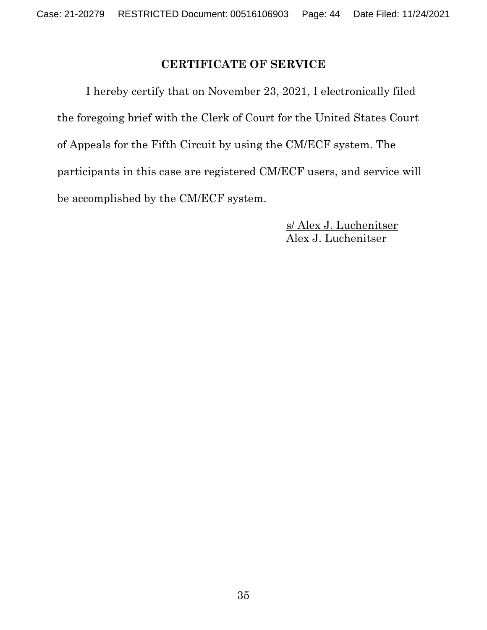# **CERTIFICATE OF SERVICE**

I hereby certify that on November 23, 2021, I electronically filed the foregoing brief with the Clerk of Court for the United States Court of Appeals for the Fifth Circuit by using the CM/ECF system. The participants in this case are registered CM/ECF users, and service will be accomplished by the CM/ECF system.

> s/ Alex J. Luchenitser Alex J. Luchenitser